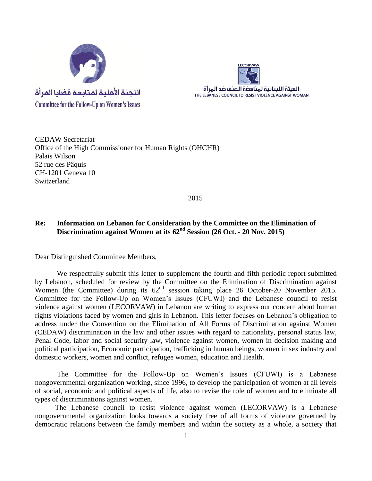



CEDAW Secretariat Office of the High Commissioner for Human Rights (OHCHR)

Palais Wilson 52 rue des Pâquis CH-1201 Geneva 10 Switzerland

2015

# **Re: Information on Lebanon for Consideration by the Committee on the Elimination of Discrimination against Women at its 62nd Session (26 Oct. - 20 Nov. 2015)**

Dear Distinguished Committee Members,

We respectfully submit this letter to supplement the fourth and fifth periodic report submitted by Lebanon, scheduled for review by the Committee on the Elimination of Discrimination against Women (the Committee) during its  $62<sup>nd</sup>$  session taking place 26 October-20 November 2015. Committee for the Follow-Up on Women's Issues (CFUWI) and the Lebanese council to resist violence against women (LECORVAW) in Lebanon are writing to express our concern about human rights violations faced by women and girls in Lebanon. This letter focuses on Lebanon's obligation to address under the Convention on the Elimination of All Forms of Discrimination against Women (CEDAW) discrimination in the law and other issues with regard to nationality, personal status law, Penal Code, labor and social security law, violence against women, women in decision making and political participation, Economic participation, trafficking in human beings, women in sex industry and domestic workers, women and conflict, refugee women, education and Health.

The Committee for the Follow-Up on Women's Issues (CFUWI) is a Lebanese nongovernmental organization working, since 1996, to develop the participation of women at all levels of social, economic and political aspects of life, also to revise the role of women and to eliminate all types of discriminations against women.

 The Lebanese council to resist violence against women (LECORVAW) is a Lebanese nongovernmental organization looks towards a society free of all forms of violence governed by democratic relations between the family members and within the society as a whole, a society that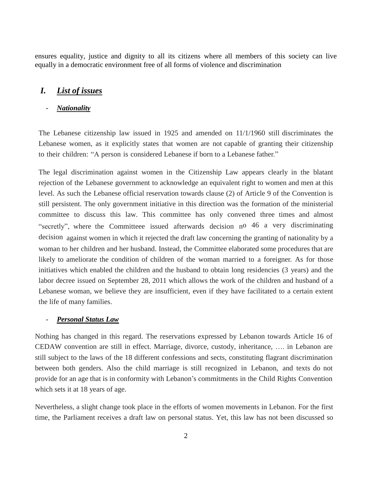ensures equality, justice and dignity to all its citizens where all members of this society can live equally in a democratic environment free of all forms of violence and discrimination

# *I. List of issues*

## - *Nationality*

The Lebanese citizenship law issued in 1925 and amended on 11/1/1960 still discriminates the Lebanese women, as it explicitly states that women are not capable of granting their citizenship to their children: "A person is considered Lebanese if born to a Lebanese father."

The legal discrimination against women in the Citizenship Law appears clearly in the blatant rejection of the Lebanese government to acknowledge an equivalent right to women and men at this level. As such the Lebanese official reservation towards clause (2) of Article 9 of the Convention is still persistent. The only government initiative in this direction was the formation of the ministerial committee to discuss this law. This committee has only convened three times and almost "secretly", where the Committeee issued afterwards decision no 46 a very discriminating decision against women in which it rejected the draft law concerning the granting of nationality by a woman to her children and her husband. Instead, the Committee elaborated some procedures that are likely to ameliorate the condition of children of the woman married to a foreigner. As for those initiatives which enabled the children and the husband to obtain long residencies (3 years) and the labor decree issued on September 28, 2011 which allows the work of the children and husband of a Lebanese woman, we believe they are insufficient, even if they have facilitated to a certain extent the life of many families.

#### - *Personal Status Law*

Nothing has changed in this regard. The reservations expressed by Lebanon towards Article 16 of CEDAW convention are still in effect. Marriage, divorce, custody, inheritance, …. in Lebanon are still subject to the laws of the 18 different confessions and sects, constituting flagrant discrimination between both genders. Also the child marriage is still recognized in Lebanon, and texts do not provide for an age that is in conformity with Lebanon's commitments in the Child Rights Convention which sets it at 18 years of age.

Nevertheless, a slight change took place in the efforts of women movements in Lebanon. For the first time, the Parliament receives a draft law on personal status. Yet, this law has not been discussed so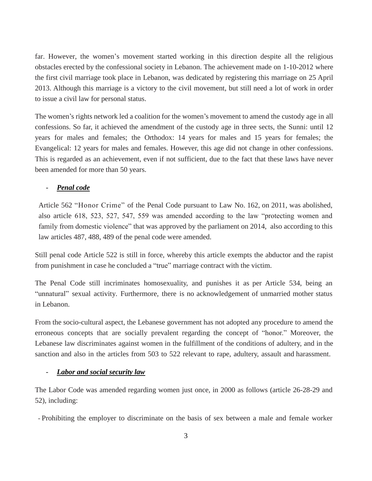far. However, the women's movement started working in this direction despite all the religious obstacles erected by the confessional society in Lebanon. The achievement made on 1-10-2012 where the first civil marriage took place in Lebanon, was dedicated by registering this marriage on 25 April 2013. Although this marriage is a victory to the civil movement, but still need a lot of work in order to issue a civil law for personal status.

The women's rights network led a coalition for the women's movement to amend the custody age in all confessions. So far, it achieved the amendment of the custody age in three sects, the Sunni: until 12 years for males and females; the Orthodox: 14 years for males and 15 years for females; the Evangelical: 12 years for males and females. However, this age did not change in other confessions. This is regarded as an achievement, even if not sufficient, due to the fact that these laws have never been amended for more than 50 years.

# *Penal code*

Article 562 "Honor Crime" of the Penal Code pursuant to Law No. 162, on 2011, was abolished, also article 618, 523, 527, 547, 559 was amended according to the law "protecting women and family from domestic violence" that was approved by the parliament on 2014, also according to this law articles 487, 488, 489 of the penal code were amended.

Still penal code Article 522 is still in force, whereby this article exempts the abductor and the rapist from punishment in case he concluded a "true" marriage contract with the victim.

The Penal Code still incriminates homosexuality, and punishes it as per Article 534, being an "unnatural" sexual activity. Furthermore, there is no acknowledgement of unmarried mother status in Lebanon.

From the socio-cultural aspect, the Lebanese government has not adopted any procedure to amend the erroneous concepts that are socially prevalent regarding the concept of "honor." Moreover, the Lebanese law discriminates against women in the fulfillment of the conditions of adultery, and in the sanction and also in the articles from 503 to 522 relevant to rape, adultery, assault and harassment.

## - *Labor and social security law*

The Labor Code was amended regarding women just once, in 2000 as follows (article 26-28-29 and 52), including:

- Prohibiting the employer to discriminate on the basis of sex between a male and female worker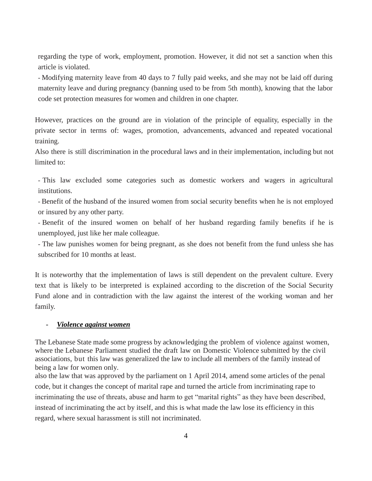regarding the type of work, employment, promotion. However, it did not set a sanction when this article is violated.

- Modifying maternity leave from 40 days to 7 fully paid weeks, and she may not be laid off during maternity leave and during pregnancy (banning used to be from 5th month), knowing that the labor code set protection measures for women and children in one chapter.

However, practices on the ground are in violation of the principle of equality, especially in the private sector in terms of: wages, promotion, advancements, advanced and repeated vocational training.

Also there is still discrimination in the procedural laws and in their implementation, including but not limited to:

- This law excluded some categories such as domestic workers and wagers in agricultural institutions.

- Benefit of the husband of the insured women from social security benefits when he is not employed or insured by any other party.

- Benefit of the insured women on behalf of her husband regarding family benefits if he is unemployed, just like her male colleague.

- The law punishes women for being pregnant, as she does not benefit from the fund unless she has subscribed for 10 months at least.

It is noteworthy that the implementation of laws is still dependent on the prevalent culture. Every text that is likely to be interpreted is explained according to the discretion of the Social Security Fund alone and in contradiction with the law against the interest of the working woman and her family.

## - *Violence against women*

The Lebanese State made some progress by acknowledging the problem of violence against women, where the Lebanese Parliament studied the draft law on Domestic Violence submitted by the civil associations, but this law was generalized the law to include all members of the family instead of being a law for women only.

also the law that was approved by the parliament on 1 April 2014, amend some articles of the penal code, but it changes the concept of marital rape and turned the article from incriminating rape to incriminating the use of threats, abuse and harm to get "marital rights" as they have been described, instead of incriminating the act by itself, and this is what made the law lose its efficiency in this regard, where sexual harassment is still not incriminated.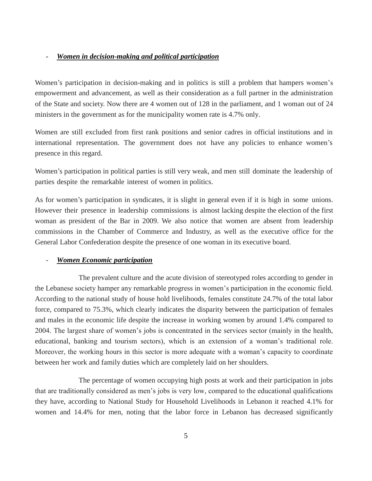#### - *Women in decision-making and political participation*

Women's participation in decision-making and in politics is still a problem that hampers women's empowerment and advancement, as well as their consideration as a full partner in the administration of the State and society. Now there are 4 women out of 128 in the parliament, and 1 woman out of 24 ministers in the government as for the municipality women rate is 4.7% only.

Women are still excluded from first rank positions and senior cadres in official institutions and in international representation. The government does not have any policies to enhance women's presence in this regard.

Women's participation in political parties is still very weak, and men still dominate the leadership of parties despite the remarkable interest of women in politics.

As for women's participation in syndicates, it is slight in general even if it is high in some unions. However their presence in leadership commissions is almost lacking despite the election of the first woman as president of the Bar in 2009. We also notice that women are absent from leadership commissions in the Chamber of Commerce and Industry, as well as the executive office for the General Labor Confederation despite the presence of one woman in its executive board.

#### - *Women Economic participation*

The prevalent culture and the acute division of stereotyped roles according to gender in the Lebanese society hamper any remarkable progress in women's participation in the economic field. According to the national study of house hold livelihoods, females constitute 24.7% of the total labor force, compared to 75.3%, which clearly indicates the disparity between the participation of females and males in the economic life despite the increase in working women by around 1.4% compared to 2004. The largest share of women's jobs is concentrated in the services sector (mainly in the health, educational, banking and tourism sectors), which is an extension of a woman's traditional role. Moreover, the working hours in this sector is more adequate with a woman's capacity to coordinate between her work and family duties which are completely laid on her shoulders.

The percentage of women occupying high posts at work and their participation in jobs that are traditionally considered as men's jobs is very low, compared to the educational qualifications they have, according to National Study for Household Livelihoods in Lebanon it reached 4.1% for women and 14.4% for men, noting that the labor force in Lebanon has decreased significantly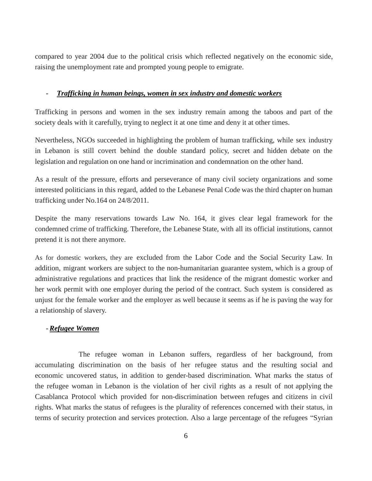compared to year 2004 due to the political crisis which reflected negatively on the economic side, raising the unemployment rate and prompted young people to emigrate.

#### - *Trafficking in human beings, women in sex industry and domestic workers*

Trafficking in persons and women in the sex industry remain among the taboos and part of the society deals with it carefully, trying to neglect it at one time and deny it at other times.

Nevertheless, NGOs succeeded in highlighting the problem of human trafficking, while sex industry in Lebanon is still covert behind the double standard policy, secret and hidden debate on the legislation and regulation on one hand or incrimination and condemnation on the other hand.

As a result of the pressure, efforts and perseverance of many civil society organizations and some interested politicians in this regard, added to the Lebanese Penal Code was the third chapter on human trafficking under No.164 on 24/8/2011.

Despite the many reservations towards Law No. 164, it gives clear legal framework for the condemned crime of trafficking. Therefore, the Lebanese State, with all its official institutions, cannot pretend it is not there anymore.

As for domestic workers, they are excluded from the Labor Code and the Social Security Law. In addition, migrant workers are subject to the non-humanitarian guarantee system, which is a group of administrative regulations and practices that link the residence of the migrant domestic worker and her work permit with one employer during the period of the contract. Such system is considered as unjust for the female worker and the employer as well because it seems as if he is paving the way for a relationship of slavery.

## - *Refugee Women*

The refugee woman in Lebanon suffers, regardless of her background, from accumulating discrimination on the basis of her refugee status and the resulting social and economic uncovered status, in addition to gender-based discrimination. What marks the status of the refugee woman in Lebanon is the violation of her civil rights as a result of not applying the Casablanca Protocol which provided for non-discrimination between refuges and citizens in civil rights. What marks the status of refugees is the plurality of references concerned with their status, in terms of security protection and services protection. Also a large percentage of the refugees "Syrian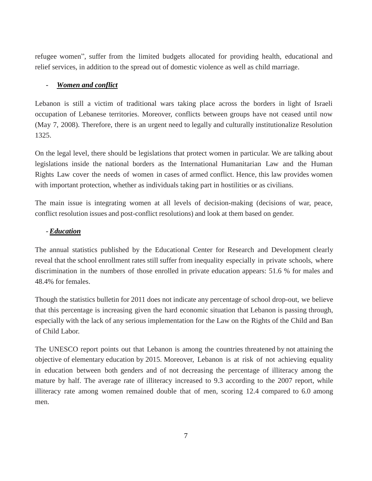refugee women", suffer from the limited budgets allocated for providing health, educational and relief services, in addition to the spread out of domestic violence as well as child marriage.

## - *Women and conflict*

Lebanon is still a victim of traditional wars taking place across the borders in light of Israeli occupation of Lebanese territories. Moreover, conflicts between groups have not ceased until now (May 7, 2008). Therefore, there is an urgent need to legally and culturally institutionalize Resolution 1325.

On the legal level, there should be legislations that protect women in particular. We are talking about legislations inside the national borders as the International Humanitarian Law and the Human Rights Law cover the needs of women in cases of armed conflict. Hence, this law provides women with important protection, whether as individuals taking part in hostilities or as civilians.

The main issue is integrating women at all levels of decision-making (decisions of war, peace, conflict resolution issues and post-conflict resolutions) and look at them based on gender.

# - *Education*

The annual statistics published by the Educational Center for Research and Development clearly reveal that the school enrollment rates still suffer from inequality especially in private schools, where discrimination in the numbers of those enrolled in private education appears: 51.6 % for males and 48.4% for females.

Though the statistics bulletin for 2011 does not indicate any percentage of school drop-out, we believe that this percentage is increasing given the hard economic situation that Lebanon is passing through, especially with the lack of any serious implementation for the Law on the Rights of the Child and Ban of Child Labor.

The UNESCO report points out that Lebanon is among the countries threatened by not attaining the objective of elementary education by 2015. Moreover, Lebanon is at risk of not achieving equality in education between both genders and of not decreasing the percentage of illiteracy among the mature by half. The average rate of illiteracy increased to 9.3 according to the 2007 report, while illiteracy rate among women remained double that of men, scoring 12.4 compared to 6.0 among men.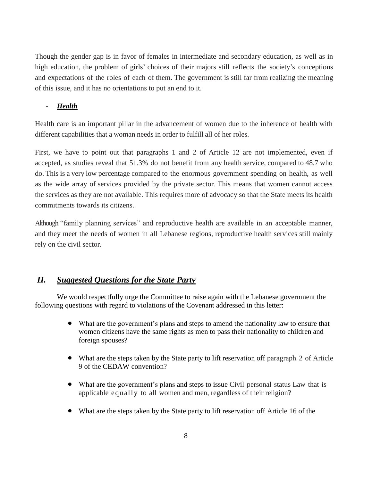Though the gender gap is in favor of females in intermediate and secondary education, as well as in high education, the problem of girls' choices of their majors still reflects the society's conceptions and expectations of the roles of each of them. The government is still far from realizing the meaning of this issue, and it has no orientations to put an end to it.

# - *Health*

Health care is an important pillar in the advancement of women due to the inherence of health with different capabilities that a woman needs in order to fulfill all of her roles.

First, we have to point out that paragraphs 1 and 2 of Article 12 are not implemented, even if accepted, as studies reveal that 51.3% do not benefit from any health service, compared to 48.7 who do. This is a very low percentage compared to the enormous government spending on health, as well as the wide array of services provided by the private sector. This means that women cannot access the services as they are not available. This requires more of advocacy so that the State meets its health commitments towards its citizens.

Although "family planning services" and reproductive health are available in an acceptable manner, and they meet the needs of women in all Lebanese regions, reproductive health services still mainly rely on the civil sector.

# *II. Suggested Questions for the State Party*

We would respectfully urge the Committee to raise again with the Lebanese government the following questions with regard to violations of the Covenant addressed in this letter:

- What are the government's plans and steps to amend the nationality law to ensure that women citizens have the same rights as men to pass their nationality to children and foreign spouses?
- What are the steps taken by the State party to lift reservation off paragraph 2 of Article 9 of the CEDAW convention?
- What are the government's plans and steps to issue Civil personal status Law that is applicable equally to all women and men, regardless of their religion?
- What are the steps taken by the State party to lift reservation off Article 16 of the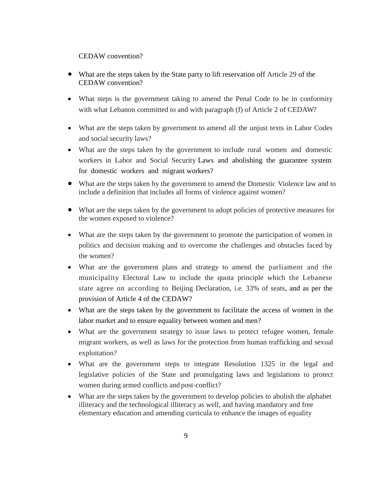#### CEDAW convention?

- What are the steps taken by the State party to lift reservation off Article 29 of the CEDAW convention?
- What steps is the government taking to amend the Penal Code to be in conformity with what Lebanon committed to and with paragraph (f) of Article 2 of CEDAW?
- What are the steps taken by government to amend all the unjust texts in Labor Codes and social security laws?
- What are the steps taken by the government to include rural women and domestic workers in Labor and Social Security Laws and abolishing the guarantee system for domestic workers and migrant workers?
- What are the steps taken by the government to amend the Domestic Violence law and to include a definition that includes all forms of violence against women?
- What are the steps taken by the government to adopt policies of protective measures for the women exposed to violence?
- What are the steps taken by the government to promote the participation of women in politics and decision making and to overcome the challenges and obstacles faced by the women?
- What are the government plans and strategy to amend the parliament and the municipality Electoral Law to include the quota principle which the Lebanese state agree on according to Beijing Declaration, i.e. 33% of seats, and as per the provision of Article 4 of the CEDAW?
- What are the steps taken by the government to facilitate the access of women in the labor market and to ensure equality between women and men?
- What are the government strategy to issue laws to protect refugee women, female migrant workers, as well as laws for the protection from human trafficking and sexual exploitation?
- What are the government steps to integrate Resolution 1325 in the legal and legislative policies of the State and promulgating laws and legislations to protect women during armed conflicts and post-conflict?
- What are the steps taken by the government to develop policies to abolish the alphabet illiteracy and the technological illiteracy as well, and having mandatory and free elementary education and amending curricula to enhance the images of equality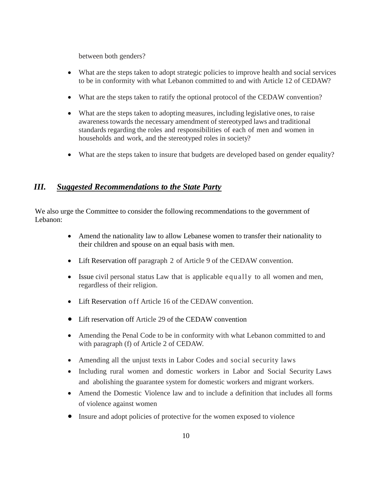between both genders?

- What are the steps taken to adopt strategic policies to improve health and social services to be in conformity with what Lebanon committed to and with Article 12 of CEDAW?
- What are the steps taken to ratify the optional protocol of the CEDAW convention?
- What are the steps taken to adopting measures, including legislative ones, to raise awareness towards the necessary amendment of stereotyped laws and traditional standards regarding the roles and responsibilities of each of men and women in households and work, and the stereotyped roles in society?
- What are the steps taken to insure that budgets are developed based on gender equality?

# *III. Suggested Recommendations to the State Party*

We also urge the Committee to consider the following recommendations to the government of Lebanon:

- Amend the nationality law to allow Lebanese women to transfer their nationality to their children and spouse on an equal basis with men.
- Lift Reservation off paragraph 2 of Article 9 of the CEDAW convention.
- Issue civil personal status Law that is applicable equally to all women and men, regardless of their religion.
- Lift Reservation off Article 16 of the CEDAW convention.
- Lift reservation off Article 29 of the CEDAW convention
- Amending the Penal Code to be in conformity with what Lebanon committed to and with paragraph (f) of Article 2 of CEDAW.
- Amending all the unjust texts in Labor Codes and social security laws
- Including rural women and domestic workers in Labor and Social Security Laws and abolishing the guarantee system for domestic workers and migrant workers.
- Amend the Domestic Violence law and to include a definition that includes all forms of violence against women
- Insure and adopt policies of protective for the women exposed to violence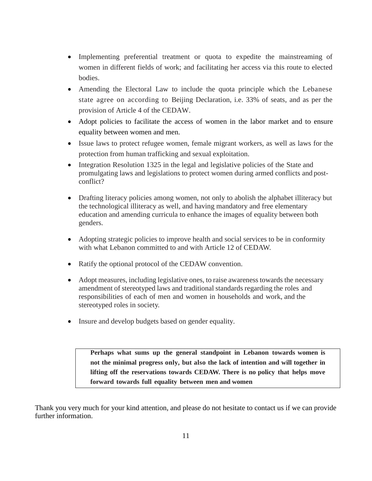- Implementing preferential treatment or quota to expedite the mainstreaming of women in different fields of work; and facilitating her access via this route to elected bodies.
- Amending the Electoral Law to include the quota principle which the Lebanese state agree on according to Beijing Declaration, i.e. 33% of seats, and as per the provision of Article 4 of the CEDAW.
- Adopt policies to facilitate the access of women in the labor market and to ensure equality between women and men.
- Issue laws to protect refugee women, female migrant workers, as well as laws for the protection from human trafficking and sexual exploitation.
- Integration Resolution 1325 in the legal and legislative policies of the State and promulgating laws and legislations to protect women during armed conflicts and postconflict?
- Drafting literacy policies among women, not only to abolish the alphabet illiteracy but the technological illiteracy as well, and having mandatory and free elementary education and amending curricula to enhance the images of equality between both genders.
- Adopting strategic policies to improve health and social services to be in conformity with what Lebanon committed to and with Article 12 of CEDAW.
- Ratify the optional protocol of the CEDAW convention.
- Adopt measures, including legislative ones, to raise awareness towards the necessary amendment of stereotyped laws and traditional standards regarding the roles and responsibilities of each of men and women in households and work, and the stereotyped roles in society.
- Insure and develop budgets based on gender equality.

**Perhaps what sums up the general standpoint in Lebanon towards women is not the minimal progress only, but also the lack of intention and will together in lifting off the reservations towards CEDAW. There is no policy that helps move forward towards full equality between men and women** 

Thank you very much for your kind attention, and please do not hesitate to contact us if we can provide further information.